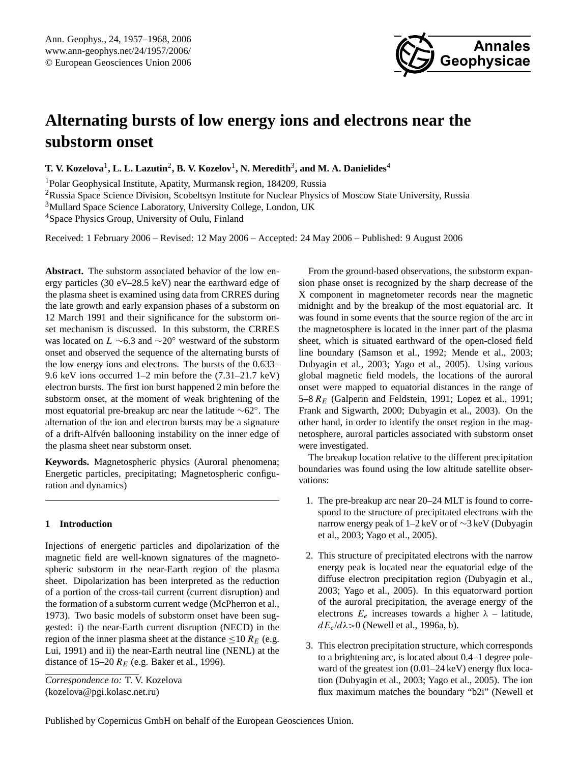

# **Alternating bursts of low energy ions and electrons near the substorm onset**

 $\bf{T. V. Kozelova<sup>1</sup>, L. L. Lazutin<sup>2</sup>, B. V. Kozelov<sup>1</sup>, N. Meredith<sup>3</sup>, and M. A. Danielides<sup>4</sup>$ 

<sup>1</sup>Polar Geophysical Institute, Apatity, Murmansk region, 184209, Russia

<sup>2</sup>Russia Space Science Division, Scobeltsyn Institute for Nuclear Physics of Moscow State University, Russia

<sup>3</sup>Mullard Space Science Laboratory, University College, London, UK

<sup>4</sup>Space Physics Group, University of Oulu, Finland

Received: 1 February 2006 – Revised: 12 May 2006 – Accepted: 24 May 2006 – Published: 9 August 2006

**Abstract.** The substorm associated behavior of the low energy particles (30 eV–28.5 keV) near the earthward edge of the plasma sheet is examined using data from CRRES during the late growth and early expansion phases of a substorm on 12 March 1991 and their significance for the substorm onset mechanism is discussed. In this substorm, the CRRES was located on  $L \sim 6.3$  and  $\sim 20$ ° westward of the substorm onset and observed the sequence of the alternating bursts of the low energy ions and electrons. The bursts of the 0.633– 9.6 keV ions occurred 1–2 min before the (7.31–21.7 keV) electron bursts. The first ion burst happened 2 min before the substorm onset, at the moment of weak brightening of the most equatorial pre-breakup arc near the latitude ∼62◦ . The alternation of the ion and electron bursts may be a signature of a drift-Alfvén ballooning instability on the inner edge of the plasma sheet near substorm onset.

**Keywords.** Magnetospheric physics (Auroral phenomena; Energetic particles, precipitating; Magnetospheric configuration and dynamics)

# **1 Introduction**

Injections of energetic particles and dipolarization of the magnetic field are well-known signatures of the magnetospheric substorm in the near-Earth region of the plasma sheet. Dipolarization has been interpreted as the reduction of a portion of the cross-tail current (current disruption) and the formation of a substorm current wedge (McPherron et al., 1973). Two basic models of substorm onset have been suggested: i) the near-Earth current disruption (NECD) in the region of the inner plasma sheet at the distance  $\leq 10 R_E$  (e.g. Lui, 1991) and ii) the near-Earth neutral line (NENL) at the distance of 15–20  $R_E$  (e.g. Baker et al., 1996).

From the ground-based observations, the substorm expansion phase onset is recognized by the sharp decrease of the X component in magnetometer records near the magnetic midnight and by the breakup of the most equatorial arc. It was found in some events that the source region of the arc in the magnetosphere is located in the inner part of the plasma sheet, which is situated earthward of the open-closed field line boundary (Samson et al., 1992; Mende et al., 2003; Dubyagin et al., 2003; Yago et al., 2005). Using various global magnetic field models, the locations of the auroral onset were mapped to equatorial distances in the range of 5–8  $R_E$  (Galperin and Feldstein, 1991; Lopez et al., 1991; Frank and Sigwarth, 2000; Dubyagin et al., 2003). On the other hand, in order to identify the onset region in the magnetosphere, auroral particles associated with substorm onset were investigated.

The breakup location relative to the different precipitation boundaries was found using the low altitude satellite observations:

- 1. The pre-breakup arc near 20–24 MLT is found to correspond to the structure of precipitated electrons with the narrow energy peak of 1–2 keV or of ∼3 keV (Dubyagin et al., 2003; Yago et al., 2005).
- 2. This structure of precipitated electrons with the narrow energy peak is located near the equatorial edge of the diffuse electron precipitation region (Dubyagin et al., 2003; Yago et al., 2005). In this equatorward portion of the auroral precipitation, the average energy of the electrons  $E_e$  increases towards a higher  $\lambda$  – latitude,  $dE_e/d\lambda$  > 0 (Newell et al., 1996a, b).
- 3. This electron precipitation structure, which corresponds to a brightening arc, is located about 0.4–1 degree poleward of the greatest ion  $(0.01-24 \text{ keV})$  energy flux location (Dubyagin et al., 2003; Yago et al., 2005). The ion flux maximum matches the boundary "b2i" (Newell et

<span id="page-0-0"></span>*Correspondence to:* T. V. Kozelova (kozelova@pgi.kolasc.net.ru)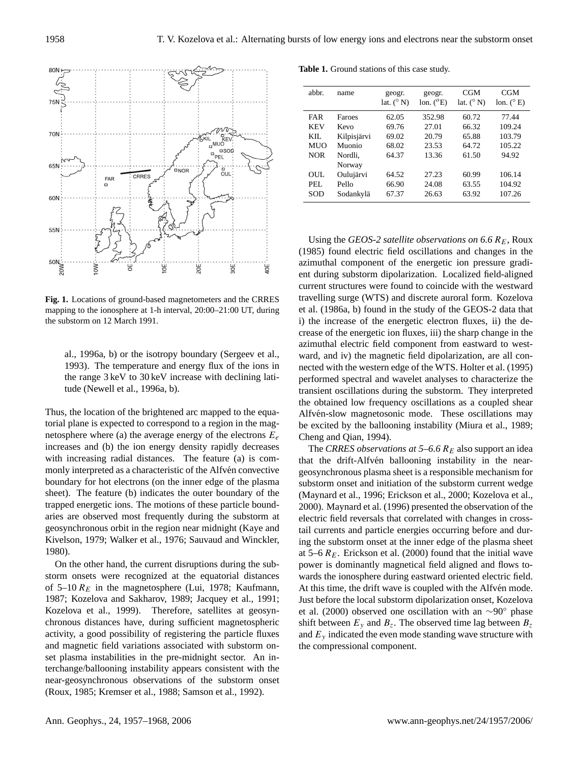

**Fig. 1.** Locations of ground-based magnetometers and the CRRES mapping to the ionosphere at 1-h interval, 20:00–21:00 UT, during the substorm on 12 March 1991.

al., 1996a, b) or the isotropy boundary (Sergeev et al., 1993). The temperature and energy flux of the ions in the range 3 keV to 30 keV increase with declining latitude (Newell et al., 1996a, b).

Thus, the location of the brightened arc mapped to the equatorial plane is expected to correspond to a region in the magnetosphere where (a) the average energy of the electrons  $E_e$ increases and (b) the ion energy density rapidly decreases with increasing radial distances. The feature (a) is commonly interpreted as a characteristic of the Alfven convective boundary for hot electrons (on the inner edge of the plasma sheet). The feature (b) indicates the outer boundary of the trapped energetic ions. The motions of these particle boundaries are observed most frequently during the substorm at geosynchronous orbit in the region near midnight (Kaye and Kivelson, 1979; Walker et al., 1976; Sauvaud and Winckler, 1980).

On the other hand, the current disruptions during the substorm onsets were recognized at the equatorial distances of 5–10  $R_E$  in the magnetosphere (Lui, 1978; Kaufmann, 1987; Kozelova and Sakharov, 1989; Jacquey et al., 1991; Kozelova et al., 1999). Therefore, satellites at geosynchronous distances have, during sufficient magnetospheric activity, a good possibility of registering the particle fluxes and magnetic field variations associated with substorm onset plasma instabilities in the pre-midnight sector. An interchange/ballooning instability appears consistent with the near-geosynchronous observations of the substorm onset (Roux, 1985; Kremser et al., 1988; Samson et al., 1992).

**Table 1.** Ground stations of this case study.

| abbr.      | name        | geogr.<br>lat. $(^{\circ}N)$ | geogr.<br>lon. $(^{o}E)$ | <b>CGM</b><br>lat. $(^{\circ}N)$ | <b>CGM</b><br>lon. $(^{\circ}E)$ |
|------------|-------------|------------------------------|--------------------------|----------------------------------|----------------------------------|
| <b>FAR</b> | Faroes      | 62.05                        | 352.98                   | 60.72                            | 77.44                            |
| <b>KEV</b> | Kevo        | 69.76                        | 27.01                    | 66.32                            | 109.24                           |
| KIL.       | Kilpisjärvi | 69.02                        | 20.79                    | 65.88                            | 103.79                           |
| <b>MUO</b> | Muonio      | 68.02                        | 23.53                    | 64.72                            | 105.22                           |
| <b>NOR</b> | Nordli.     | 64.37                        | 13.36                    | 61.50                            | 94.92                            |
|            | Norway      |                              |                          |                                  |                                  |
| OUL.       | Oulujärvi   | 64.52                        | 27.23                    | 60.99                            | 106.14                           |
| PEL.       | Pello       | 66.90                        | 24.08                    | 63.55                            | 104.92                           |
| SOD        | Sodankylä   | 67.37                        | 26.63                    | 63.92                            | 107.26                           |
|            |             |                              |                          |                                  |                                  |

Using the *GEOS-2 satellite observations on* 6.6  $R_E$ , Roux (1985) found electric field oscillations and changes in the azimuthal component of the energetic ion pressure gradient during substorm dipolarization. Localized field-aligned current structures were found to coincide with the westward travelling surge (WTS) and discrete auroral form. Kozelova et al. (1986a, b) found in the study of the GEOS-2 data that i) the increase of the energetic electron fluxes, ii) the decrease of the energetic ion fluxes, iii) the sharp change in the azimuthal electric field component from eastward to westward, and iv) the magnetic field dipolarization, are all connected with the western edge of the WTS. Holter et al. (1995) performed spectral and wavelet analyses to characterize the transient oscillations during the substorm. They interpreted the obtained low frequency oscillations as a coupled shear Alfvén-slow magnetosonic mode. These oscillations may be excited by the ballooning instability (Miura et al., 1989; Cheng and Qian, 1994).

The *CRRES observations at*  $5-6.6 R<sub>E</sub>$  also support an idea that the drift-Alfvén ballooning instability in the neargeosynchronous plasma sheet is a responsible mechanism for substorm onset and initiation of the substorm current wedge (Maynard et al., 1996; Erickson et al., 2000; Kozelova et al., 2000). Maynard et al. (1996) presented the observation of the electric field reversals that correlated with changes in crosstail currents and particle energies occurring before and during the substorm onset at the inner edge of the plasma sheet at 5–6  $R_E$ . Erickson et al. (2000) found that the initial wave power is dominantly magnetical field aligned and flows towards the ionosphere during eastward oriented electric field. At this time, the drift wave is coupled with the Alfvén mode. Just before the local substorm dipolarization onset, Kozelova et al. (2000) observed one oscillation with an ∼90◦ phase shift between  $E_y$  and  $B_z$ . The observed time lag between  $B_z$ and  $E<sub>v</sub>$  indicated the even mode standing wave structure with the compressional component.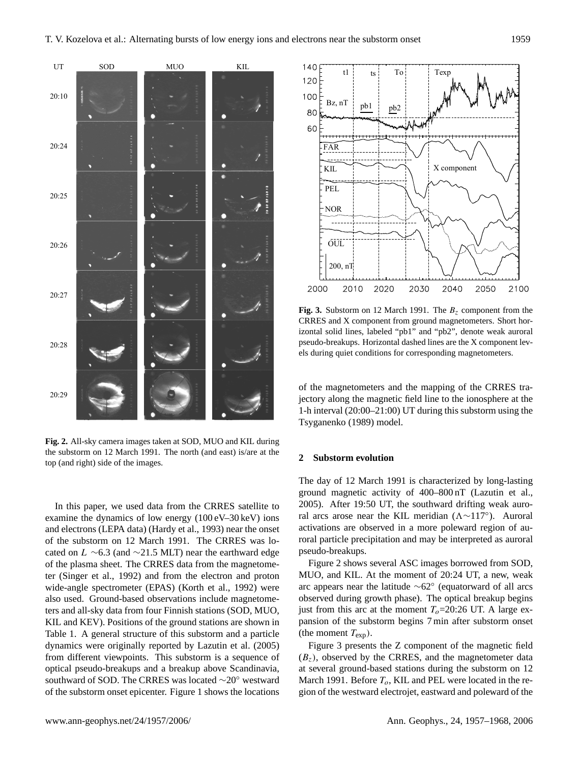

**Fig. 2.** All-sky camera images taken at SOD, MUO and KIL during the substorm on 12 March 1991. The north (and east) is/are at the top (and right) side of the images.

In this paper, we used data from the CRRES satellite to examine the dynamics of low energy (100 eV–30 keV) ions and electrons (LEPA data) (Hardy et al., 1993) near the onset of the substorm on 12 March 1991. The CRRES was located on L ∼6.3 (and ∼21.5 MLT) near the earthward edge of the plasma sheet. The CRRES data from the magnetometer (Singer et al., 1992) and from the electron and proton wide-angle spectrometer (EPAS) (Korth et al., 1992) were also used. Ground-based observations include magnetometers and all-sky data from four Finnish stations (SOD, MUO, KIL and KEV). Positions of the ground stations are shown in Table 1. A general structure of this substorm and a particle dynamics were originally reported by Lazutin et al. (2005) from different viewpoints. This substorm is a sequence of optical pseudo-breakups and a breakup above Scandinavia, southward of SOD. The CRRES was located ∼20◦ westward of the substorm onset epicenter. Figure 1 shows the locations



**Fig. 3.** Substorm on 12 March 1991. The  $B_z$  component from the CRRES and X component from ground magnetometers. Short horizontal solid lines, labeled "pb1" and "pb2", denote weak auroral pseudo-breakups. Horizontal dashed lines are the X component levels during quiet conditions for corresponding magnetometers.

of the magnetometers and the mapping of the CRRES trajectory along the magnetic field line to the ionosphere at the 1-h interval (20:00–21:00) UT during this substorm using the Tsyganenko (1989) model.

# **2 Substorm evolution**

The day of 12 March 1991 is characterized by long-lasting ground magnetic activity of 400–800 nT (Lazutin et al., 2005). After 19:50 UT, the southward drifting weak auroral arcs arose near the KIL meridian ( $\Lambda \sim 117^\circ$ ). Auroral activations are observed in a more poleward region of auroral particle precipitation and may be interpreted as auroral pseudo-breakups.

Figure 2 shows several ASC images borrowed from SOD, MUO, and KIL. At the moment of 20:24 UT, a new, weak arc appears near the latitude ∼62◦ (equatorward of all arcs observed during growth phase). The optical breakup begins just from this arc at the moment  $T<sub>o</sub>=20:26$  UT. A large expansion of the substorm begins 7 min after substorm onset (the moment  $T_{\text{exp}}$ ).

Figure 3 presents the Z component of the magnetic field  $(B_z)$ , observed by the CRRES, and the magnetometer data at several ground-based stations during the substorm on 12 March 1991. Before  $T<sub>o</sub>$ , KIL and PEL were located in the region of the westward electrojet, eastward and poleward of the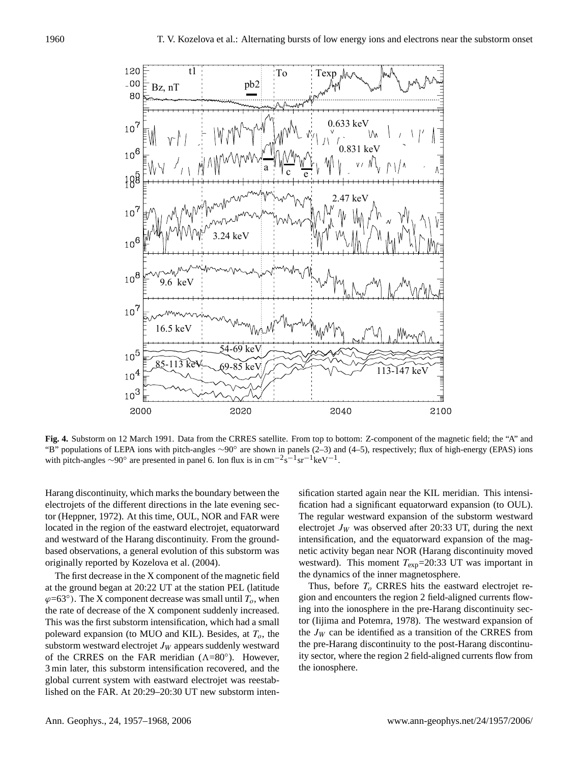

**Fig. 4.** Substorm on 12 March 1991. Data from the CRRES satellite. From top to bottom: Z-component of the magnetic field; the "A" and "B" populations of LEPA ions with pitch-angles ∼90◦ are shown in panels (2–3) and (4–5), respectively; flux of high-energy (EPAS) ions with pitch-angles  $\sim$ 90° are presented in panel 6. Ion flux is in cm<sup>-2</sup>s<sup>-1</sup>sr<sup>-1</sup>keV<sup>-1</sup>.

Harang discontinuity, which marks the boundary between the electrojets of the different directions in the late evening sector (Heppner, 1972). At this time, OUL, NOR and FAR were located in the region of the eastward electrojet, equatorward and westward of the Harang discontinuity. From the groundbased observations, a general evolution of this substorm was originally reported by Kozelova et al. (2004).

The first decrease in the X component of the magnetic field at the ground began at 20:22 UT at the station PEL (latitude  $\varphi$ =63°). The X component decrease was small until  $T_o$ , when the rate of decrease of the X component suddenly increased. This was the first substorm intensification, which had a small poleward expansion (to MUO and KIL). Besides, at  $T<sub>o</sub>$ , the substorm westward electrojet  $J_W$  appears suddenly westward of the CRRES on the FAR meridian  $(\Lambda = 80^\circ)$ . However, 3 min later, this substorm intensification recovered, and the global current system with eastward electrojet was reestablished on the FAR. At 20:29–20:30 UT new substorm intensification started again near the KIL meridian. This intensification had a significant equatorward expansion (to OUL). The regular westward expansion of the substorm westward electrojet  $J_W$  was observed after 20:33 UT, during the next intensification, and the equatorward expansion of the magnetic activity began near NOR (Harang discontinuity moved westward). This moment  $T_{exp}$ =20:33 UT was important in the dynamics of the inner magnetosphere.

Thus, before  $T<sub>o</sub>$  CRRES hits the eastward electrojet region and encounters the region 2 field-aligned currents flowing into the ionosphere in the pre-Harang discontinuity sector (Iijima and Potemra, 1978). The westward expansion of the  $J_W$  can be identified as a transition of the CRRES from the pre-Harang discontinuity to the post-Harang discontinuity sector, where the region 2 field-aligned currents flow from the ionosphere.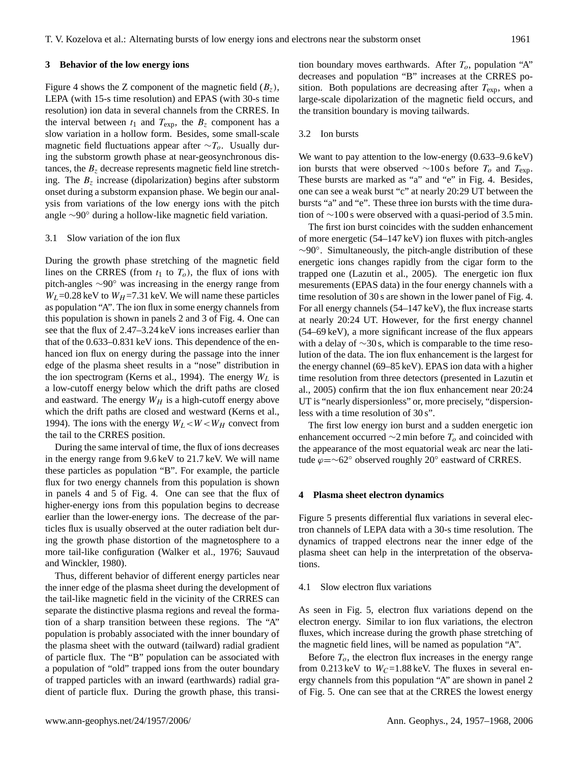#### **3 Behavior of the low energy ions**

Figure 4 shows the Z component of the magnetic field  $(B_z)$ , LEPA (with 15-s time resolution) and EPAS (with 30-s time resolution) ion data in several channels from the CRRES. In the interval between  $t_1$  and  $T_{\text{exp}}$ , the  $B_z$  component has a slow variation in a hollow form. Besides, some small-scale magnetic field fluctuations appear after  $\sim T_o$ . Usually during the substorm growth phase at near-geosynchronous distances, the  $B<sub>z</sub>$  decrease represents magnetic field line stretching. The  $B_z$  increase (dipolarization) begins after substorm onset during a substorm expansion phase. We begin our analysis from variations of the low energy ions with the pitch angle ∼90◦ during a hollow-like magnetic field variation.

# 3.1 Slow variation of the ion flux

During the growth phase stretching of the magnetic field lines on the CRRES (from  $t_1$  to  $T_0$ ), the flux of ions with pitch-angles ∼90◦ was increasing in the energy range from  $W_L$ =0.28 keV to  $W_H$ =7.31 keV. We will name these particles as population "A". The ion flux in some energy channels from this population is shown in panels 2 and 3 of Fig. 4. One can see that the flux of 2.47–3.24 keV ions increases earlier than that of the 0.633–0.831 keV ions. This dependence of the enhanced ion flux on energy during the passage into the inner edge of the plasma sheet results in a "nose" distribution in the ion spectrogram (Kerns et al., 1994). The energy  $W_L$  is a low-cutoff energy below which the drift paths are closed and eastward. The energy  $W_H$  is a high-cutoff energy above which the drift paths are closed and westward (Kerns et al., 1994). The ions with the energy  $W_L < W < W_H$  convect from the tail to the CRRES position.

During the same interval of time, the flux of ions decreases in the energy range from 9.6 keV to 21.7 keV. We will name these particles as population "B". For example, the particle flux for two energy channels from this population is shown in panels 4 and 5 of Fig. 4. One can see that the flux of higher-energy ions from this population begins to decrease earlier than the lower-energy ions. The decrease of the particles flux is usually observed at the outer radiation belt during the growth phase distortion of the magnetosphere to a more tail-like configuration (Walker et al., 1976; Sauvaud and Winckler, 1980).

Thus, different behavior of different energy particles near the inner edge of the plasma sheet during the development of the tail-like magnetic field in the vicinity of the CRRES can separate the distinctive plasma regions and reveal the formation of a sharp transition between these regions. The "A" population is probably associated with the inner boundary of the plasma sheet with the outward (tailward) radial gradient of particle flux. The "B" population can be associated with a population of "old" trapped ions from the outer boundary of trapped particles with an inward (earthwards) radial gradient of particle flux. During the growth phase, this transition boundary moves earthwards. After  $T<sub>o</sub>$ , population "A" decreases and population "B" increases at the CRRES position. Both populations are decreasing after  $T_{\text{exp}}$ , when a large-scale dipolarization of the magnetic field occurs, and the transition boundary is moving tailwards.

## 3.2 Ion bursts

We want to pay attention to the low-energy  $(0.633-9.6 \text{ keV})$ ion bursts that were observed ∼100 s before  $T_o$  and  $T_{\text{exp}}$ . These bursts are marked as "a" and "e" in Fig. 4. Besides, one can see a weak burst "c" at nearly 20:29 UT between the bursts "a" and "e". These three ion bursts with the time duration of ∼100 s were observed with a quasi-period of 3.5 min.

The first ion burst coincides with the sudden enhancement of more energetic (54–147 keV) ion fluxes with pitch-angles ∼90◦ . Simultaneously, the pitch-angle distribution of these energetic ions changes rapidly from the cigar form to the trapped one (Lazutin et al., 2005). The energetic ion flux mesurements (EPAS data) in the four energy channels with a time resolution of 30 s are shown in the lower panel of Fig. 4. For all energy channels (54–147 keV), the flux increase starts at nearly 20:24 UT. However, for the first energy channel (54–69 keV), a more significant increase of the flux appears with a delay of ∼30 s, which is comparable to the time resolution of the data. The ion flux enhancement is the largest for the energy channel (69–85 keV). EPAS ion data with a higher time resolution from three detectors (presented in Lazutin et al., 2005) confirm that the ion flux enhancement near 20:24 UT is "nearly dispersionless" or, more precisely, "dispersionless with a time resolution of 30 s".

The first low energy ion burst and a sudden energetic ion enhancement occurred  $\sim$ 2 min before  $T_o$  and coincided with the appearance of the most equatorial weak arc near the latitude  $\varphi = \sim 62^\circ$  observed roughly 20° eastward of CRRES.

#### **4 Plasma sheet electron dynamics**

Figure 5 presents differential flux variations in several electron channels of LEPA data with a 30-s time resolution. The dynamics of trapped electrons near the inner edge of the plasma sheet can help in the interpretation of the observations.

# 4.1 Slow electron flux variations

As seen in Fig. 5, electron flux variations depend on the electron energy. Similar to ion flux variations, the electron fluxes, which increase during the growth phase stretching of the magnetic field lines, will be named as population "A".

Before  $T<sub>o</sub>$ , the electron flux increases in the energy range from 0.213 keV to  $W_C$ =1.88 keV. The fluxes in several energy channels from this population "A" are shown in panel 2 of Fig. 5. One can see that at the CRRES the lowest energy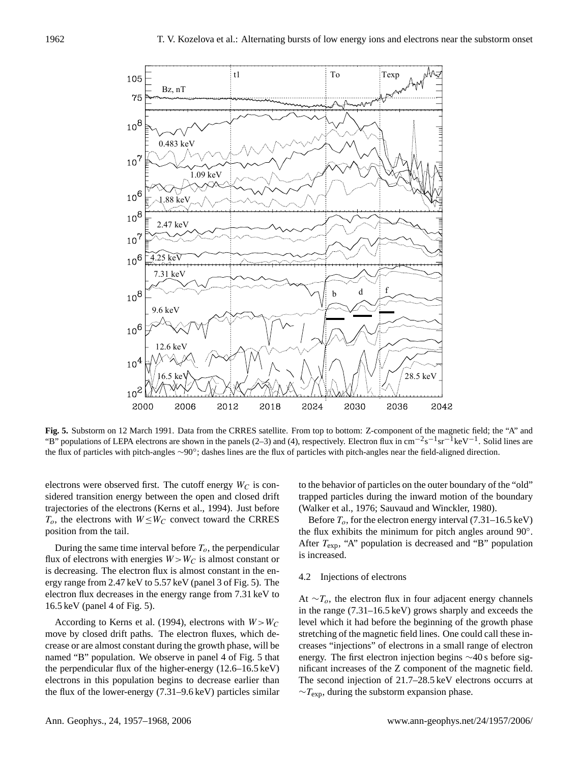

**Fig. 5.** Substorm on 12 March 1991. Data from the CRRES satellite. From top to bottom: Z-component of the magnetic field; the "A" and "B" populations of LEPA electrons are shown in the panels (2–3) and (4), respectively. Electron flux in cm<sup>-2</sup>s<sup>-1</sup>sr<sup>-1</sup>keV<sup>-1</sup>. Solid lines are the flux of particles with pitch-angles ∼90◦ ; dashes lines are the flux of particles with pitch-angles near the field-aligned direction.

electrons were observed first. The cutoff energy  $W_C$  is considered transition energy between the open and closed drift trajectories of the electrons (Kerns et al., 1994). Just before  $T_o$ , the electrons with  $W \leq W_C$  convect toward the CRRES position from the tail.

During the same time interval before  $T<sub>o</sub>$ , the perpendicular flux of electrons with energies  $W > W_C$  is almost constant or is decreasing. The electron flux is almost constant in the energy range from 2.47 keV to 5.57 keV (panel 3 of Fig. 5). The electron flux decreases in the energy range from 7.31 keV to 16.5 keV (panel 4 of Fig. 5).

According to Kerns et al. (1994), electrons with  $W > W_C$ move by closed drift paths. The electron fluxes, which decrease or are almost constant during the growth phase, will be named "B" population. We observe in panel 4 of Fig. 5 that the perpendicular flux of the higher-energy (12.6–16.5 keV) electrons in this population begins to decrease earlier than the flux of the lower-energy (7.31–9.6 keV) particles similar to the behavior of particles on the outer boundary of the "old" trapped particles during the inward motion of the boundary (Walker et al., 1976; Sauvaud and Winckler, 1980).

Before  $T<sub>o</sub>$ , for the electron energy interval (7.31–16.5 keV) the flux exhibits the minimum for pitch angles around 90°. After  $T_{\text{exp}}$ , "A" population is decreased and "B" population is increased.

# 4.2 Injections of electrons

At  $\sim T_0$ , the electron flux in four adjacent energy channels in the range (7.31–16.5 keV) grows sharply and exceeds the level which it had before the beginning of the growth phase stretching of the magnetic field lines. One could call these increases "injections" of electrons in a small range of electron energy. The first electron injection begins ∼40 s before significant increases of the Z component of the magnetic field. The second injection of 21.7–28.5 keV electrons occurrs at  $\sim T_{\rm exp}$ , during the substorm expansion phase.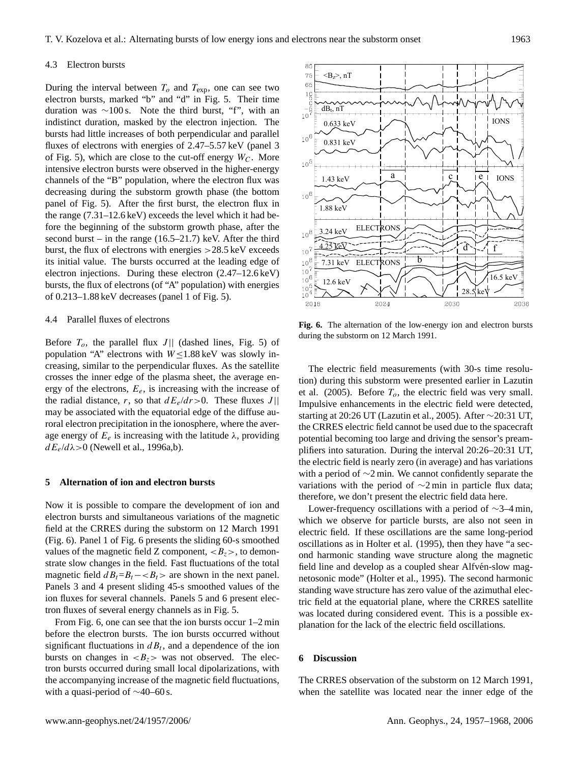#### 4.3 Electron bursts

During the interval between  $T_o$  and  $T_{\text{exp}}$ , one can see two electron bursts, marked "b" and "d" in Fig. 5. Their time duration was ∼100 s. Note the third burst, "f", with an indistinct duration, masked by the electron injection. The bursts had little increases of both perpendicular and parallel fluxes of electrons with energies of 2.47–5.57 keV (panel 3 of Fig. 5), which are close to the cut-off energy  $W<sub>C</sub>$ . More intensive electron bursts were observed in the higher-energy channels of the "B" population, where the electron flux was decreasing during the substorm growth phase (the bottom panel of Fig. 5). After the first burst, the electron flux in the range (7.31–12.6 keV) exceeds the level which it had before the beginning of the substorm growth phase, after the second burst – in the range  $(16.5-21.7)$  keV. After the third burst, the flux of electrons with energies  $>28.5 \,\text{keV}$  exceeds its initial value. The bursts occurred at the leading edge of electron injections. During these electron (2.47–12.6 keV) bursts, the flux of electrons (of "A" population) with energies of 0.213–1.88 keV decreases (panel 1 of Fig. 5).

## 4.4 Parallel fluxes of electrons

Before  $T<sub>o</sub>$ , the parallel flux J|| (dashed lines, Fig. 5) of population "A" electrons with  $W \le 1.88$  keV was slowly increasing, similar to the perpendicular fluxes. As the satellite crosses the inner edge of the plasma sheet, the average energy of the electrons,  $E_e$ , is increasing with the increase of the radial distance, r, so that  $dE_e/dr > 0$ . These fluxes J|| may be associated with the equatorial edge of the diffuse auroral electron precipitation in the ionosphere, where the average energy of  $E_e$  is increasing with the latitude  $\lambda$ , providing  $dE_e/d\lambda$  > 0 (Newell et al., 1996a,b).

# **5 Alternation of ion and electron bursts**

Now it is possible to compare the development of ion and electron bursts and simultaneous variations of the magnetic field at the CRRES during the substorm on 12 March 1991 (Fig. 6). Panel 1 of Fig. 6 presents the sliding 60-s smoothed values of the magnetic field Z component,  $\langle B_z \rangle$ , to demonstrate slow changes in the field. Fast fluctuations of the total magnetic field  $dB_t=B_t$  –  $\lt B_t$  are shown in the next panel. Panels 3 and 4 present sliding 45-s smoothed values of the ion fluxes for several channels. Panels 5 and 6 present electron fluxes of several energy channels as in Fig. 5.

From Fig. 6, one can see that the ion bursts occur 1–2 min before the electron bursts. The ion bursts occurred without significant fluctuations in  $dB_t$ , and a dependence of the ion bursts on changes in  $\langle B_z \rangle$  was not observed. The electron bursts occurred during small local dipolarizations, with the accompanying increase of the magnetic field fluctuations, with a quasi-period of ∼40–60 s.



**Fig. 6.** The alternation of the low-energy ion and electron bursts during the substorm on 12 March 1991.

The electric field measurements (with 30-s time resolution) during this substorm were presented earlier in Lazutin et al. (2005). Before  $T<sub>o</sub>$ , the electric field was very small. Impulsive enhancements in the electric field were detected, starting at 20:26 UT (Lazutin et al., 2005). After ∼20:31 UT, the CRRES electric field cannot be used due to the spacecraft potential becoming too large and driving the sensor's preamplifiers into saturation. During the interval 20:26–20:31 UT, the electric field is nearly zero (in average) and has variations with a period of ∼2 min. We cannot confidently separate the variations with the period of  $\sim$ 2 min in particle flux data; therefore, we don't present the electric field data here.

Lower-frequency oscillations with a period of ∼3–4 min, which we observe for particle bursts, are also not seen in electric field. If these oscillations are the same long-period oscillations as in Holter et al. (1995), then they have "a second harmonic standing wave structure along the magnetic field line and develop as a coupled shear Alfvén-slow magnetosonic mode" (Holter et al., 1995). The second harmonic standing wave structure has zero value of the azimuthal electric field at the equatorial plane, where the CRRES satellite was located during considered event. This is a possible explanation for the lack of the electric field oscillations.

## **6 Discussion**

The CRRES observation of the substorm on 12 March 1991, when the satellite was located near the inner edge of the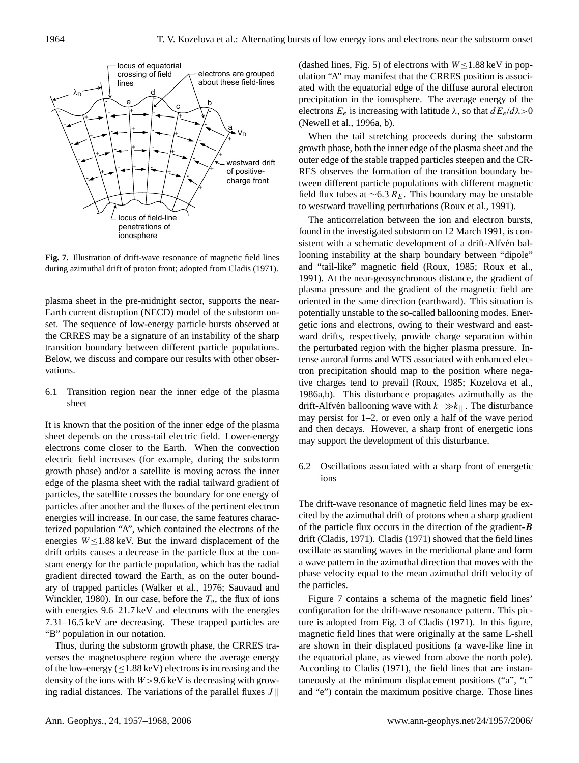

**Fig. 7.** Illustration of drift-wave resonance of magnetic field lines during azimuthal drift of proton front; adopted from Cladis (1971).

plasma sheet in the pre-midnight sector, supports the near-Earth current disruption (NECD) model of the substorm onset. The sequence of low-energy particle bursts observed at the CRRES may be a signature of an instability of the sharp transition boundary between different particle populations. Below, we discuss and compare our results with other observations.

6.1 Transition region near the inner edge of the plasma sheet

It is known that the position of the inner edge of the plasma sheet depends on the cross-tail electric field. Lower-energy electrons come closer to the Earth. When the convection electric field increases (for example, during the substorm growth phase) and/or a satellite is moving across the inner edge of the plasma sheet with the radial tailward gradient of particles, the satellite crosses the boundary for one energy of particles after another and the fluxes of the pertinent electron energies will increase. In our case, the same features characterized population "A", which contained the electrons of the energies  $W \le 1.88$  keV. But the inward displacement of the drift orbits causes a decrease in the particle flux at the constant energy for the particle population, which has the radial gradient directed toward the Earth, as on the outer boundary of trapped particles (Walker et al., 1976; Sauvaud and Winckler, 1980). In our case, before the  $T<sub>o</sub>$ , the flux of ions with energies 9.6–21.7 keV and electrons with the energies 7.31–16.5 keV are decreasing. These trapped particles are "B" population in our notation.

Thus, during the substorm growth phase, the CRRES traverses the magnetosphere region where the average energy of the low-energy  $(< 1.88 \text{ keV})$  electrons is increasing and the density of the ions with  $W > 9.6$  keV is decreasing with growing radial distances. The variations of the parallel fluxes  $J||$  (dashed lines, Fig. 5) of electrons with  $W \le 1.88$  keV in population "A" may manifest that the CRRES position is associated with the equatorial edge of the diffuse auroral electron precipitation in the ionosphere. The average energy of the electrons  $E_e$  is increasing with latitude  $\lambda$ , so that  $dE_e/d\lambda > 0$ (Newell et al., 1996a, b).

When the tail stretching proceeds during the substorm growth phase, both the inner edge of the plasma sheet and the outer edge of the stable trapped particles steepen and the CR-RES observes the formation of the transition boundary between different particle populations with different magnetic field flux tubes at  $\sim$ 6.3  $R_E$ . This boundary may be unstable to westward travelling perturbations (Roux et al., 1991).

The anticorrelation between the ion and electron bursts, found in the investigated substorm on 12 March 1991, is consistent with a schematic development of a drift-Alfvén ballooning instability at the sharp boundary between "dipole" and "tail-like" magnetic field (Roux, 1985; Roux et al., 1991). At the near-geosynchronous distance, the gradient of plasma pressure and the gradient of the magnetic field are oriented in the same direction (earthward). This situation is potentially unstable to the so-called ballooning modes. Energetic ions and electrons, owing to their westward and eastward drifts, respectively, provide charge separation within the perturbated region with the higher plasma pressure. Intense auroral forms and WTS associated with enhanced electron precipitation should map to the position where negative charges tend to prevail (Roux, 1985; Kozelova et al., 1986a,b). This disturbance propagates azimuthally as the drift-Alfvén ballooning wave with  $k_{\perp} \gg k_{\parallel}$ . The disturbance may persist for 1–2, or even only a half of the wave period and then decays. However, a sharp front of energetic ions may support the development of this disturbance.

6.2 Oscillations associated with a sharp front of energetic ions

The drift-wave resonance of magnetic field lines may be excited by the azimuthal drift of protons when a sharp gradient of the particle flux occurs in the direction of the gradient- $\bm{B}$ drift (Cladis, 1971). Cladis (1971) showed that the field lines oscillate as standing waves in the meridional plane and form a wave pattern in the azimuthal direction that moves with the phase velocity equal to the mean azimuthal drift velocity of the particles.

Figure 7 contains a schema of the magnetic field lines' configuration for the drift-wave resonance pattern. This picture is adopted from Fig. 3 of Cladis (1971). In this figure, magnetic field lines that were originally at the same L-shell are shown in their displaced positions (a wave-like line in the equatorial plane, as viewed from above the north pole). According to Cladis (1971), the field lines that are instantaneously at the minimum displacement positions ("a", "c" and "e") contain the maximum positive charge. Those lines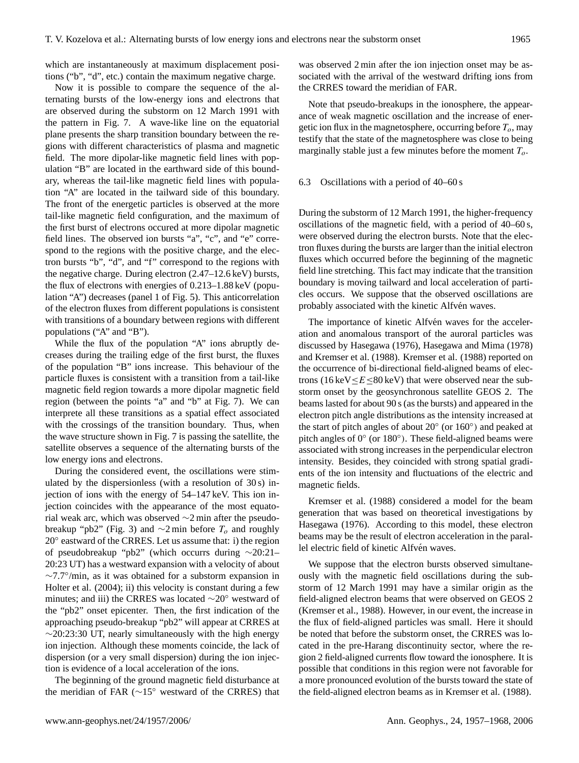which are instantaneously at maximum displacement positions ("b", "d", etc.) contain the maximum negative charge.

Now it is possible to compare the sequence of the alternating bursts of the low-energy ions and electrons that are observed during the substorm on 12 March 1991 with the pattern in Fig. 7. A wave-like line on the equatorial plane presents the sharp transition boundary between the regions with different characteristics of plasma and magnetic field. The more dipolar-like magnetic field lines with population "B" are located in the earthward side of this boundary, whereas the tail-like magnetic field lines with population "A" are located in the tailward side of this boundary. The front of the energetic particles is observed at the more tail-like magnetic field configuration, and the maximum of the first burst of electrons occured at more dipolar magnetic field lines. The observed ion bursts "a", "c", and "e" correspond to the regions with the positive charge, and the electron bursts "b", "d", and "f" correspond to the regions with the negative charge. During electron (2.47–12.6 keV) bursts, the flux of electrons with energies of 0.213–1.88 keV (population "A") decreases (panel 1 of Fig. 5). This anticorrelation of the electron fluxes from different populations is consistent with transitions of a boundary between regions with different populations ("A" and "B").

While the flux of the population "A" ions abruptly decreases during the trailing edge of the first burst, the fluxes of the population "B" ions increase. This behaviour of the particle fluxes is consistent with a transition from a tail-like magnetic field region towards a more dipolar magnetic field region (between the points "a" and "b" at Fig. 7). We can interprete all these transitions as a spatial effect associated with the crossings of the transition boundary. Thus, when the wave structure shown in Fig. 7 is passing the satellite, the satellite observes a sequence of the alternating bursts of the low energy ions and electrons.

During the considered event, the oscillations were stimulated by the dispersionless (with a resolution of 30 s) injection of ions with the energy of 54–147 keV. This ion injection coincides with the appearance of the most equatorial weak arc, which was observed ∼2 min after the pseudobreakup "pb2" (Fig. 3) and  $\sim$ 2 min before  $T_o$  and roughly 20° eastward of the CRRES. Let us assume that: i) the region of pseudobreakup "pb2" (which occurrs during ∼20:21– 20:23 UT) has a westward expansion with a velocity of about ∼7.7◦ /min, as it was obtained for a substorm expansion in Holter et al. (2004); ii) this velocity is constant during a few minutes; and iii) the CRRES was located ∼20◦ westward of the "pb2" onset epicenter. Then, the first indication of the approaching pseudo-breakup "pb2" will appear at CRRES at  $\sim$ 20:23:30 UT, nearly simultaneously with the high energy ion injection. Although these moments coincide, the lack of dispersion (or a very small dispersion) during the ion injection is evidence of a local acceleration of the ions.

The beginning of the ground magnetic field disturbance at the meridian of FAR (∼15◦ westward of the CRRES) that

was observed 2 min after the ion injection onset may be associated with the arrival of the westward drifting ions from the CRRES toward the meridian of FAR.

Note that pseudo-breakups in the ionosphere, the appearance of weak magnetic oscillation and the increase of energetic ion flux in the magnetosphere, occurring before  $T<sub>o</sub>$ , may testify that the state of the magnetosphere was close to being marginally stable just a few minutes before the moment  $T<sub>o</sub>$ .

#### 6.3 Oscillations with a period of 40–60 s

During the substorm of 12 March 1991, the higher-frequency oscillations of the magnetic field, with a period of 40–60 s, were observed during the electron bursts. Note that the electron fluxes during the bursts are larger than the initial electron fluxes which occurred before the beginning of the magnetic field line stretching. This fact may indicate that the transition boundary is moving tailward and local acceleration of particles occurs. We suppose that the observed oscillations are probably associated with the kinetic Alfvén waves.

The importance of kinetic Alfvén waves for the acceleration and anomalous transport of the auroral particles was discussed by Hasegawa (1976), Hasegawa and Mima (1978) and Kremser et al. (1988). Kremser et al. (1988) reported on the occurrence of bi-directional field-aligned beams of electrons (16 keV $\leq E \leq 80$  keV) that were observed near the substorm onset by the geosynchronous satellite GEOS 2. The beams lasted for about 90 s (as the bursts) and appeared in the electron pitch angle distributions as the intensity increased at the start of pitch angles of about 20◦ (or 160◦ ) and peaked at pitch angles of 0° (or 180°). These field-aligned beams were associated with strong increases in the perpendicular electron intensity. Besides, they coincided with strong spatial gradients of the ion intensity and fluctuations of the electric and magnetic fields.

Kremser et al. (1988) considered a model for the beam generation that was based on theoretical investigations by Hasegawa (1976). According to this model, these electron beams may be the result of electron acceleration in the parallel electric field of kinetic Alfvén waves.

We suppose that the electron bursts observed simultaneously with the magnetic field oscillations during the substorm of 12 March 1991 may have a similar origin as the field-aligned electron beams that were observed on GEOS 2 (Kremser et al., 1988). However, in our event, the increase in the flux of field-aligned particles was small. Here it should be noted that before the substorm onset, the CRRES was located in the pre-Harang discontinuity sector, where the region 2 field-aligned currents flow toward the ionosphere. It is possible that conditions in this region were not favorable for a more pronounced evolution of the bursts toward the state of the field-aligned electron beams as in Kremser et al. (1988).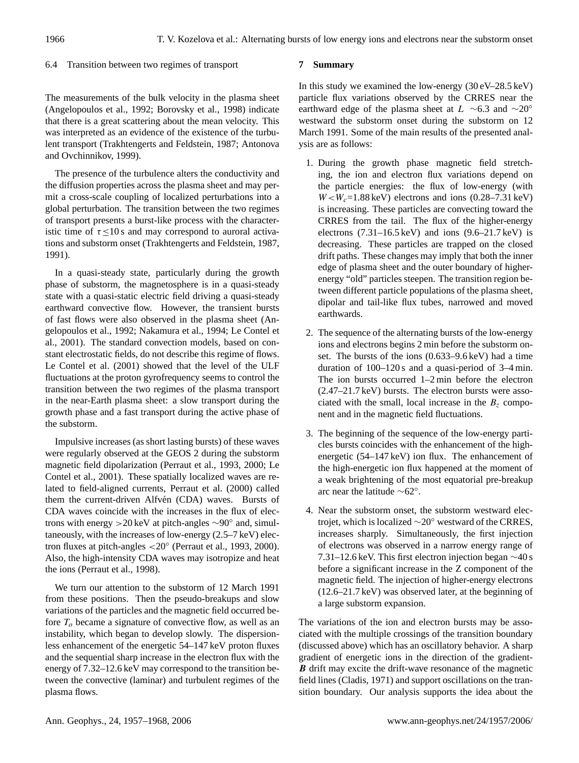# 6.4 Transition between two regimes of transport

# **7 Summary**

The measurements of the bulk velocity in the plasma sheet (Angelopoulos et al., 1992; Borovsky et al., 1998) indicate that there is a great scattering about the mean velocity. This was interpreted as an evidence of the existence of the turbulent transport (Trakhtengerts and Feldstein, 1987; Antonova and Ovchinnikov, 1999).

The presence of the turbulence alters the conductivity and the diffusion properties across the plasma sheet and may permit a cross-scale coupling of localized perturbations into a global perturbation. The transition between the two regimes of transport presents a burst-like process with the characteristic time of  $\tau \leq 10$  s and may correspond to auroral activations and substorm onset (Trakhtengerts and Feldstein, 1987, 1991).

In a quasi-steady state, particularly during the growth phase of substorm, the magnetosphere is in a quasi-steady state with a quasi-static electric field driving a quasi-steady earthward convective flow. However, the transient bursts of fast flows were also observed in the plasma sheet (Angelopoulos et al., 1992; Nakamura et al., 1994; Le Contel et al., 2001). The standard convection models, based on constant electrostatic fields, do not describe this regime of flows. Le Contel et al. (2001) showed that the level of the ULF fluctuations at the proton gyrofrequency seems to control the transition between the two regimes of the plasma transport in the near-Earth plasma sheet: a slow transport during the growth phase and a fast transport during the active phase of the substorm.

Impulsive increases (as short lasting bursts) of these waves were regularly observed at the GEOS 2 during the substorm magnetic field dipolarization (Perraut et al., 1993, 2000; Le Contel et al., 2001). These spatially localized waves are related to field-aligned currents, Perraut et al. (2000) called them the current-driven Alfvén (CDA) waves. Bursts of CDA waves coincide with the increases in the flux of electrons with energy >20 keV at pitch-angles ∼90◦ and, simultaneously, with the increases of low-energy (2.5–7 keV) electron fluxes at pitch-angles <20◦ (Perraut et al., 1993, 2000). Also, the high-intensity CDA waves may isotropize and heat the ions (Perraut et al., 1998).

We turn our attention to the substorm of 12 March 1991 from these positions. Then the pseudo-breakups and slow variations of the particles and the magnetic field occurred before  $T<sub>o</sub>$  became a signature of convective flow, as well as an instability, which began to develop slowly. The dispersionless enhancement of the energetic 54–147 keV proton fluxes and the sequential sharp increase in the electron flux with the energy of 7.32–12.6 keV may correspond to the transition between the convective (laminar) and turbulent regimes of the plasma flows.

In this study we examined the low-energy  $(30 \text{ eV} - 28.5 \text{ keV})$ particle flux variations observed by the CRRES near the earthward edge of the plasma sheet at  $L \sim 6.3$  and  $\sim 20°$ westward the substorm onset during the substorm on 12 March 1991. Some of the main results of the presented analysis are as follows:

- 1. During the growth phase magnetic field stretching, the ion and electron flux variations depend on the particle energies: the flux of low-energy (with  $W < W_c = 1.88 \text{ keV}$ ) electrons and ions (0.28–7.31 keV) is increasing. These particles are convecting toward the CRRES from the tail. The flux of the higher-energy electrons  $(7.31-16.5 \text{ keV})$  and ions  $(9.6-21.7 \text{ keV})$  is decreasing. These particles are trapped on the closed drift paths. These changes may imply that both the inner edge of plasma sheet and the outer boundary of higherenergy "old" particles steepen. The transition region between different particle populations of the plasma sheet, dipolar and tail-like flux tubes, narrowed and moved earthwards.
- 2. The sequence of the alternating bursts of the low-energy ions and electrons begins 2 min before the substorm onset. The bursts of the ions (0.633–9.6 keV) had a time duration of 100–120 s and a quasi-period of 3–4 min. The ion bursts occurred 1–2 min before the electron (2.47–21.7 keV) bursts. The electron bursts were associated with the small, local increase in the  $B<sub>z</sub>$  component and in the magnetic field fluctuations.
- 3. The beginning of the sequence of the low-energy particles bursts coincides with the enhancement of the highenergetic (54–147 keV) ion flux. The enhancement of the high-energetic ion flux happened at the moment of a weak brightening of the most equatorial pre-breakup arc near the latitude ∼62◦ .
- 4. Near the substorm onset, the substorm westward electrojet, which is localized  $\sim$ 20° westward of the CRRES, increases sharply. Simultaneously, the first injection of electrons was observed in a narrow energy range of 7.31–12.6 keV. This first electron injection began ∼40 s before a significant increase in the Z component of the magnetic field. The injection of higher-energy electrons (12.6–21.7 keV) was observed later, at the beginning of a large substorm expansion.

The variations of the ion and electron bursts may be associated with the multiple crossings of the transition boundary (discussed above) which has an oscillatory behavior. A sharp gradient of energetic ions in the direction of the gradient-**B** drift may excite the drift-wave resonance of the magnetic field lines (Cladis, 1971) and support oscillations on the transition boundary. Our analysis supports the idea about the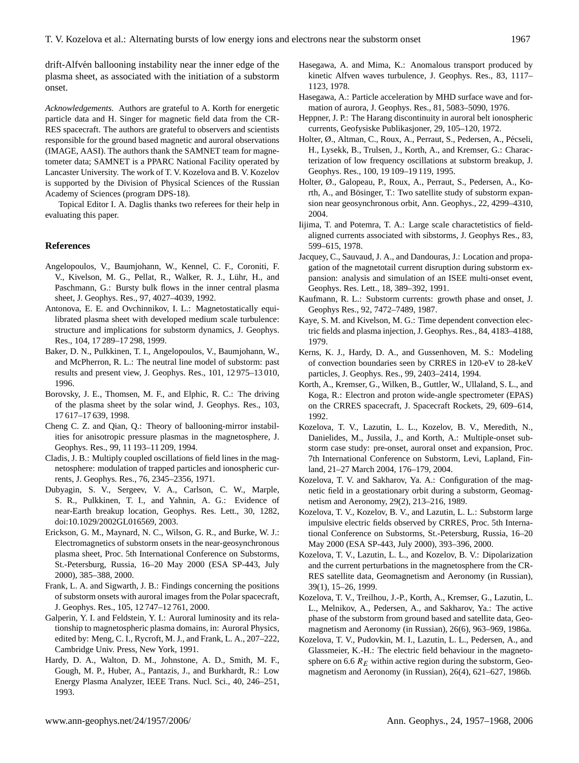drift-Alfvén ballooning instability near the inner edge of the plasma sheet, as associated with the initiation of a substorm onset.

*Acknowledgements.* Authors are grateful to A. Korth for energetic particle data and H. Singer for magnetic field data from the CR-RES spacecraft. The authors are grateful to observers and scientists responsible for the ground based magnetic and auroral observations (IMAGE, AASI). The authors thank the SAMNET team for magnetometer data; SAMNET is a PPARC National Facility operated by Lancaster University. The work of T. V. Kozelova and B. V. Kozelov is supported by the Division of Physical Sciences of the Russian Academy of Sciences (program DPS-18).

Topical Editor I. A. Daglis thanks two referees for their help in evaluating this paper.

## **References**

- Angelopoulos, V., Baumjohann, W., Kennel, C. F., Coroniti, F. V., Kivelson, M. G., Pellat, R., Walker, R. J., Luhr, H., and ¨ Paschmann, G.: Bursty bulk flows in the inner central plasma sheet, J. Geophys. Res., 97, 4027–4039, 1992.
- Antonova, E. E. and Ovchinnikov, I. L.: Magnetostatically equilibrated plasma sheet with developed medium scale turbulence: structure and implications for substorm dynamics, J. Geophys. Res., 104, 17 289–17 298, 1999.
- Baker, D. N., Pulkkinen, T. I., Angelopoulos, V., Baumjohann, W., and McPherron, R. L.: The neutral line model of substorm: past results and present view, J. Geophys. Res., 101, 12 975–13 010, 1996.
- Borovsky, J. E., Thomsen, M. F., and Elphic, R. C.: The driving of the plasma sheet by the solar wind, J. Geophys. Res., 103, 17 617–17 639, 1998.
- Cheng C. Z. and Qian, Q.: Theory of ballooning-mirror instabilities for anisotropic pressure plasmas in the magnetosphere, J. Geophys. Res., 99, 11 193–11 209, 1994.
- Cladis, J. B.: Multiply coupled oscillations of field lines in the magnetosphere: modulation of trapped particles and ionospheric currents, J. Geophys. Res., 76, 2345–2356, 1971.
- Dubyagin, S. V., Sergeev, V. A., Carlson, C. W., Marple, S. R., Pulkkinen, T. I., and Yahnin, A. G.: Evidence of near-Earth breakup location, Geophys. Res. Lett., 30, 1282, doi:10.1029/2002GL016569, 2003.
- Erickson, G. M., Maynard, N. C., Wilson, G. R., and Burke, W. J.: Electromagnetics of substorm onsets in the near-geosynchronous plasma sheet, Proc. 5th International Conference on Substorms, St.-Petersburg, Russia, 16–20 May 2000 (ESA SP-443, July 2000), 385–388, 2000.
- Frank, L. A. and Sigwarth, J. B.: Findings concerning the positions of substorm onsets with auroral images from the Polar spacecraft, J. Geophys. Res., 105, 12 747–12 761, 2000.
- Galperin, Y. I. and Feldstein, Y. I.: Auroral luminosity and its relationship to magnetospheric plasma domains, in: Auroral Physics, edited by: Meng, C. I., Rycroft, M. J., and Frank, L. A., 207–222, Cambridge Univ. Press, New York, 1991.
- Hardy, D. A., Walton, D. M., Johnstone, A. D., Smith, M. F., Gough, M. P., Huber, A., Pantazis, J., and Burkhardt, R.: Low Energy Plasma Analyzer, IEEE Trans. Nucl. Sci., 40, 246–251, 1993.
- Hasegawa, A. and Mima, K.: Anomalous transport produced by kinetic Alfven waves turbulence, J. Geophys. Res., 83, 1117– 1123, 1978.
- Hasegawa, A.: Particle acceleration by MHD surface wave and formation of aurora, J. Geophys. Res., 81, 5083–5090, 1976.
- Heppner, J. P.: The Harang discontinuity in auroral belt ionospheric currents, Geofysiske Publikasjoner, 29, 105–120, 1972.
- Holter, Ø., Altman, C., Roux, A., Perraut, S., Pedersen, A., Pécseli, H., Lysekk, B., Trulsen, J., Korth, A., and Kremser, G.: Characterization of low frequency oscillations at substorm breakup, J. Geophys. Res., 100, 19 109–19 119, 1995.
- Holter, Ø., Galopeau, P., Roux, A., Perraut, S., Pedersen, A., Korth, A., and Bösinger, T.: Two satellite study of substorm expansion near geosynchronous orbit, Ann. Geophys., 22, 4299–4310, 2004.
- Iijima, T. and Potemra, T. A.: Large scale charactetistics of fieldaligned currents associated with sibstorms, J. Geophys Res., 83, 599–615, 1978.
- Jacquey, C., Sauvaud, J. A., and Dandouras, J.: Location and propagation of the magnetotail current disruption during substorm expansion: analysis and simulation of an ISEE multi-onset event, Geophys. Res. Lett., 18, 389–392, 1991.
- Kaufmann, R. L.: Substorm currents: growth phase and onset, J. Geophys Res., 92, 7472–7489, 1987.
- Kaye, S. M. and Kivelson, M. G.: Time dependent convection electric fields and plasma injection, J. Geophys. Res., 84, 4183–4188, 1979.
- Kerns, K. J., Hardy, D. A., and Gussenhoven, M. S.: Modeling of convection boundaries seen by CRRES in 120-eV to 28-keV particles, J. Geophys. Res., 99, 2403–2414, 1994.
- Korth, A., Kremser, G., Wilken, B., Guttler, W., Ullaland, S. L., and Koga, R.: Electron and proton wide-angle spectrometer (EPAS) on the CRRES spacecraft, J. Spacecraft Rockets, 29, 609–614, 1992.
- Kozelova, T. V., Lazutin, L. L., Kozelov, B. V., Meredith, N., Danielides, M., Jussila, J., and Korth, A.: Multiple-onset substorm case study: pre-onset, auroral onset and expansion, Proc. 7th International Conference on Substorm, Levi, Lapland, Finland, 21–27 March 2004, 176–179, 2004.
- Kozelova, T. V. and Sakharov, Ya. A.: Configuration of the magnetic field in a geostationary orbit during a substorm, Geomagnetism and Aeronomy, 29(2), 213–216, 1989.
- Kozelova, T. V., Kozelov, B. V., and Lazutin, L. L.: Substorm large impulsive electric fields observed by CRRES, Proc. 5th International Conference on Substorms, St.-Petersburg, Russia, 16–20 May 2000 (ESA SP-443, July 2000), 393–396, 2000.
- Kozelova, T. V., Lazutin, L. L., and Kozelov, B. V.: Dipolarization and the current perturbations in the magnetosphere from the CR-RES satellite data, Geomagnetism and Aeronomy (in Russian), 39(1), 15–26, 1999.
- Kozelova, T. V., Treilhou, J.-P., Korth, A., Kremser, G., Lazutin, L. L., Melnikov, A., Pedersen, A., and Sakharov, Ya.: The active phase of the substorm from ground based and satellite data, Geomagnetism and Aeronomy (in Russian), 26(6), 963–969, 1986a.
- Kozelova, T. V., Pudovkin, M. I., Lazutin, L. L., Pedersen, A., and Glassmeier, K.-H.: The electric field behaviour in the magnetosphere on 6.6  $R_E$  within active region during the substorm, Geomagnetism and Aeronomy (in Russian), 26(4), 621–627, 1986b.